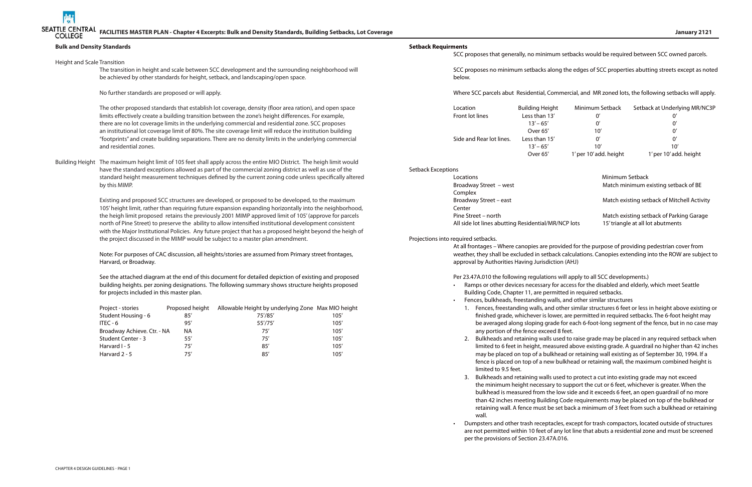

105' height limit, rather than requiring future expansion expanding horizontally into the neighborhood, the heigh limit proposed retains the previously 2001 MIMP approved limit of 105' (approve for parcels north of Pine Street) to preserve the ability to allow intensified institutional development consistent with the Major Institutional Policies. Any future project that has a proposed height beyond the heigh of the project discussed in the MIMP would be subject to a master plan amendment.

Center Pine Street – north All side lot lines abutting Residential/MI

## **Bulk and Density Standards** Height and Scale Transition The transition in height and scale between SCC development and the surrounding neighborhood will be achieved by other standards for height, setback, and landscaping/open space. No further standards are proposed or will apply. The other proposed standards that establish lot coverage, density (floor area ration), and open space limits effectively create a building transition between the zone's height differences. For example, there are no lot coverage limits in the underlying commercial and residential zone. SCC proposes an institutional lot coverage limit of 80%. The site coverage limit will reduce the institution building "footprints" and create building separations. There are no density limits in the underlying commercial and residential zones. Building Height The maximum height limit of 105 feet shall apply across the entire MIO District. The heigh limit would have the standard exceptions allowed as part of the commercial zoning district as well as use of the standard height measurement techniques defined by the current zoning code unless specifically altered by this MIMP. Existing and proposed SCC structures are developed, or proposed to be developed, to the maximum **Setback Requirments** below. Setback Exceptions Locations **Minimum Setback** Complex

Note: For purposes of CAC discussion, all heights/stories are assumed from Primary street frontages, Harvard, or Broadway.

See the attached diagram at the end of this document for detailed depiction of existing and proposed building heights. per zoning designations. The following summary shows structure heights proposed for projects included in this master plan.

| Project - stories           | Proposed height | Allowable Height by underlying Zone Max MIO height |      |
|-----------------------------|-----------------|----------------------------------------------------|------|
| Student Housing - 6         | 85'             | 75'/85'                                            | 105' |
| ITEC - 6                    | 95'             | 55'/75'                                            | 105' |
| Broadway Achieve. Ctr. - NA | ΝA              | 75'                                                | 105' |
| Student Center - 3          | 55'             | 75'                                                | 105' |
| Harvard I - 5               | 75'             | 85'                                                | 105' |
| Harvard 2 - 5               | 75'             | 85'                                                | 105' |

SCC proposes that generally, no minimum setbacks would be required between SCC owned parcels.

SCC proposes no minimum setbacks along the edges of SCC properties abutting streets except as noted

Where SCC parcels abut Residential, Commercial, and MR zoned lots, the following setbacks will apply.

Location Building Height Minimum Setback Setback Setback Setback Setback At Union Setback Setback At Underlyin Front lot lines Less than 13  $13' - 65'$ Over 65' Side and Rear lot lines. Less than 15  $13' - 65'$ 

| ding Height | Minimum Setback        | Setback at Underlying MR/NC3P |
|-------------|------------------------|-------------------------------|
| ss than 13' | U,                     | 0'                            |
| $13' - 65'$ | U,                     | 0'                            |
| Over 65'    | 10'                    | $0^{\prime}$                  |
| ss than 15' | U,                     | 0'                            |
| $13' - 65'$ | 10'                    | 10'                           |
| Over 65'    | 1' per 10' add. height | 1' per 10' add. height        |
|             |                        |                               |

Broadway Street – west **Match minimum existing setback of BE** 

Broadway Street – east **Match existing setback of Mitchell Activity** Broadway Street – east

|            | Match existing setback of Parking Garage |
|------------|------------------------------------------|
| R/NCP lots | 15' triangle at all lot abutments        |

Projections into required setbacks.

At all frontages – Where canopies are provided for the purpose of providing pedestrian cover from weather, they shall be excluded in setback calculations. Canopies extending into the ROW are subject to approval by Authorities Having Jurisdiction (AHJ)

Per 23.47A.010 the following regulations will apply to all SCC developments.)

• Ramps or other devices necessary for access for the disabled and elderly, which meet Seattle

1. Fences, freestanding walls, and other similar structures 6 feet or less in height above existing or finished grade, whichever is lower, are permitted in required setbacks. The 6-foot height may be averaged along sloping grade for each 6-foot-long segment of the fence, but in no case may

2. Bulkheads and retaining walls used to raise grade may be placed in any required setback when limited to 6 feet in height, measured above existing grade. A guardrail no higher than 42 inches may be placed on top of a bulkhead or retaining wall existing as of September 30, 1994. If a fence is placed on top of a new bulkhead or retaining wall, the maximum combined height is

- Building Code, Chapter 11, are permitted in required setbacks.
- Fences, bulkheads, freestanding walls, and other similar structures
	- any portion of the fence exceed 8 feet.
	- limited to 9.5 feet.
	- wall.
- per the provisions of Section 23.47A.016.

3. Bulkheads and retaining walls used to protect a cut into existing grade may not exceed the minimum height necessary to support the cut or 6 feet, whichever is greater. When the bulkhead is measured from the low side and it exceeds 6 feet, an open guardrail of no more than 42 inches meeting Building Code requirements may be placed on top of the bulkhead or retaining wall. A fence must be set back a minimum of 3 feet from such a bulkhead or retaining

• Dumpsters and other trash receptacles, except for trash compactors, located outside of structures are not permitted within 10 feet of any lot line that abuts a residential zone and must be screened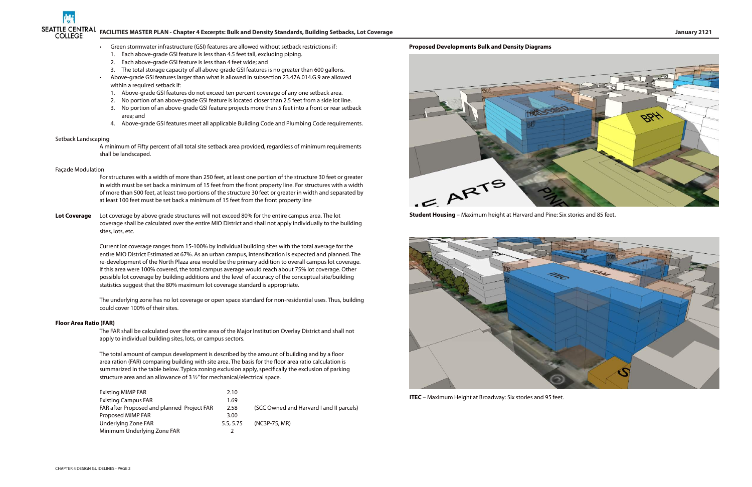

# **FACILITIES MASTER PLAN - Chapter 4 Excerpts: Bulk and Density Standards, Building Setbacks, Lot Coverage January 2121**

- Green stormwater infrastructure (GSI) features are allowed without setback restrictions if:
- 1. Each above-grade GSI feature is less than 4.5 feet tall, excluding piping.
- 2. Each above-grade GSI feature is less than 4 feet wide; and
- 3. The total storage capacity of all above-grade GSI features is no greater than 600 gallons.
- Above-grade GSI features larger than what is allowed in subsection 23.47A.014.G.9 are allowed within a required setback if:
	- 1. Above-grade GSI features do not exceed ten percent coverage of any one setback area.
	- 2. No portion of an above-grade GSI feature is located closer than 2.5 feet from a side lot line.
	- 3. No portion of an above-grade GSI feature projects more than 5 feet into a front or rear setback area; and
	- 4. Above-grade GSI features meet all applicable Building Code and Plumbing Code requirements.

#### Setback Landscaping

A minimum of Fifty percent of all total site setback area provided, regardless of minimum requirements shall be landscaped.

#### Façade Modulation

For structures with a width of more than 250 feet, at least one portion of the structure 30 feet or greater in width must be set back a minimum of 15 feet from the front property line. For structures with a width of more than 500 feet, at least two portions of the structure 30 feet or greater in width and separated by at least 100 feet must be set back a minimum of 15 feet from the front property line

**Lot Coverage** Lot coverage by above grade structures will not exceed 80% for the entire campus area. The lot coverage shall be calculated over the entire MIO District and shall not apply individually to the building sites, lots, etc.

> Current lot coverage ranges from 15-100% by individual building sites with the total average for the entire MIO District Estimated at 67%. As an urban campus, intensification is expected and planned. The re-development of the North Plaza area would be the primary addition to overall campus lot coverage. If this area were 100% covered, the total campus average would reach about 75% lot coverage. Other possible lot coverage by building additions and the level of accuracy of the conceptual site/building statistics suggest that the 80% maximum lot coverage standard is appropriate.

The underlying zone has no lot coverage or open space standard for non-residential uses. Thus, building could cover 100% of their sites.

#### **Floor Area Ratio (FAR)**

The FAR shall be calculated over the entire area of the Major Institution Overlay District and shall not apply to individual building sites, lots, or campus sectors.

The total amount of campus development is described by the amount of building and by a floor area ration (FAR) comparing building with site area. The basis for the floor area ratio calculation is summarized in the table below. Typica zoning exclusion apply, specifically the exclusion of parking structure area and an allowance of 3 ½" for mechanical/electrical space.

| <b>Existing MIMP FAR</b>                   | 2.10      |                                          |
|--------------------------------------------|-----------|------------------------------------------|
| <b>Existing Campus FAR</b>                 | 1.69      |                                          |
| FAR after Proposed and planned Project FAR | 2.58      | (SCC Owned and Harvard I and II parcels) |
| Proposed MIMP FAR                          | 3.00      |                                          |
| Underlying Zone FAR                        | 5.5, 5.75 | (NC3P-75, MR)                            |
| Minimum Underlying Zone FAR                |           |                                          |

### **Proposed Developments Bulk and Density Diagrams**





**ITEC** – Maximum Height at Broadway: Six stories and 95 feet.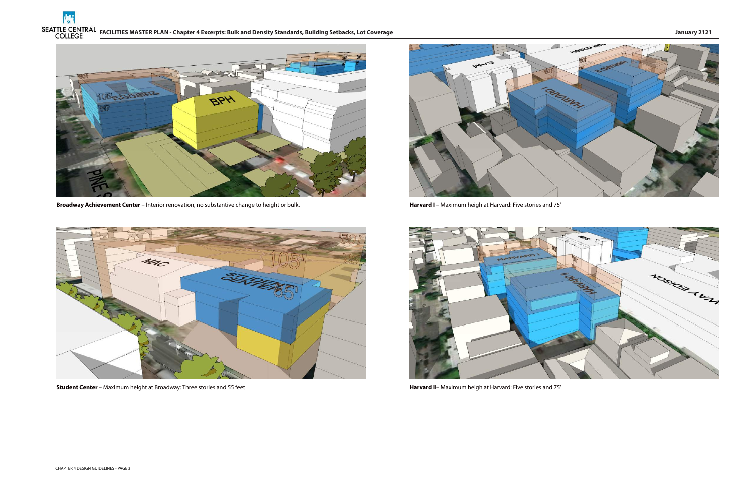





**Broadway Achievement Center** – Interior renovation, no substantive change to height or bulk.



**Student Center** – Maximum height at Broadway: Three stories and 55 feet



**Harvard I** – Maximum heigh at Harvard: Five stories and 75'



**Harvard I**I– Maximum heigh at Harvard: Five stories and 75'